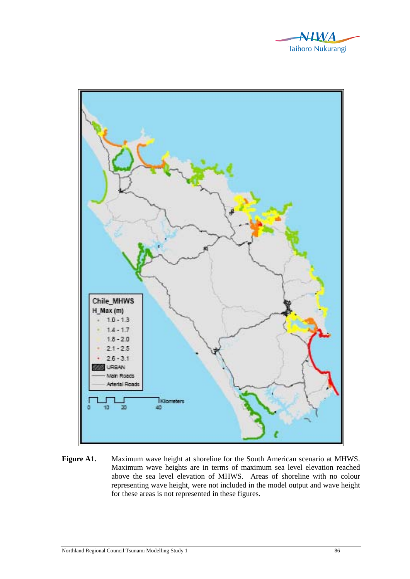



**Figure A1.** Maximum wave height at shoreline for the South American scenario at MHWS. Maximum wave heights are in terms of maximum sea level elevation reached above the sea level elevation of MHWS. Areas of shoreline with no colour representing wave height, were not included in the model output and wave height for these areas is not represented in these figures.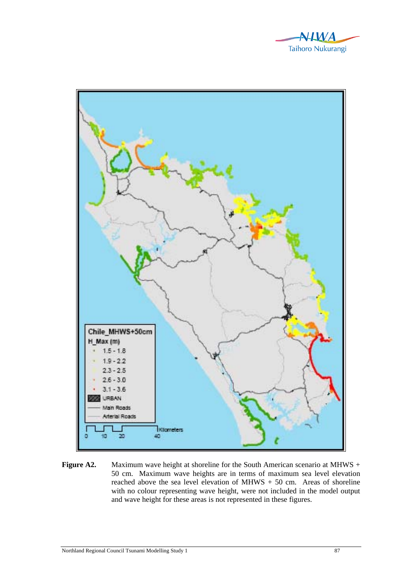



**Figure A2.** Maximum wave height at shoreline for the South American scenario at MHWS + 50 cm. Maximum wave heights are in terms of maximum sea level elevation reached above the sea level elevation of MHWS + 50 cm. Areas of shoreline with no colour representing wave height, were not included in the model output and wave height for these areas is not represented in these figures.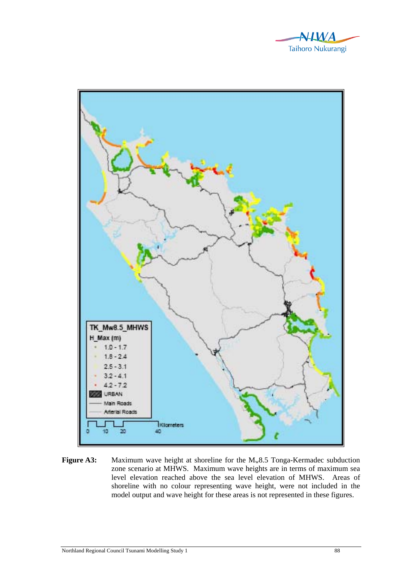



**Figure A3:** Maximum wave height at shoreline for the M<sub>w</sub>8.5 Tonga-Kermadec subduction zone scenario at MHWS. Maximum wave heights are in terms of maximum sea level elevation reached above the sea level elevation of MHWS. Areas of shoreline with no colour representing wave height, were not included in the model output and wave height for these areas is not represented in these figures.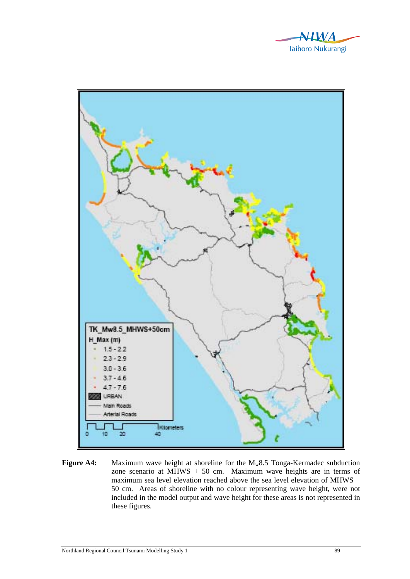



**Figure A4:** Maximum wave height at shoreline for the M<sub>w</sub>8.5 Tonga-Kermadec subduction zone scenario at MHWS + 50 cm. Maximum wave heights are in terms of maximum sea level elevation reached above the sea level elevation of MHWS + 50 cm. Areas of shoreline with no colour representing wave height, were not included in the model output and wave height for these areas is not represented in these figures.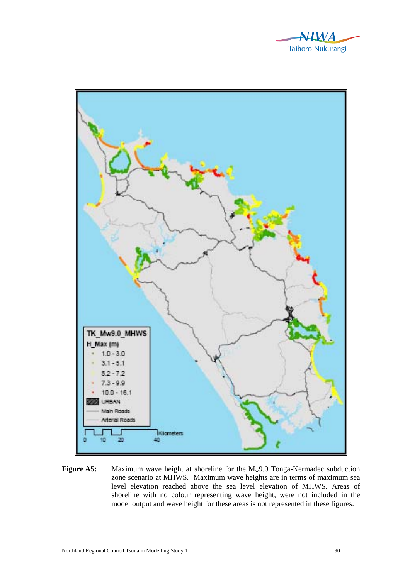



**Figure A5:** Maximum wave height at shoreline for the M<sub>w</sub>9.0 Tonga-Kermadec subduction zone scenario at MHWS. Maximum wave heights are in terms of maximum sea level elevation reached above the sea level elevation of MHWS. Areas of shoreline with no colour representing wave height, were not included in the model output and wave height for these areas is not represented in these figures.